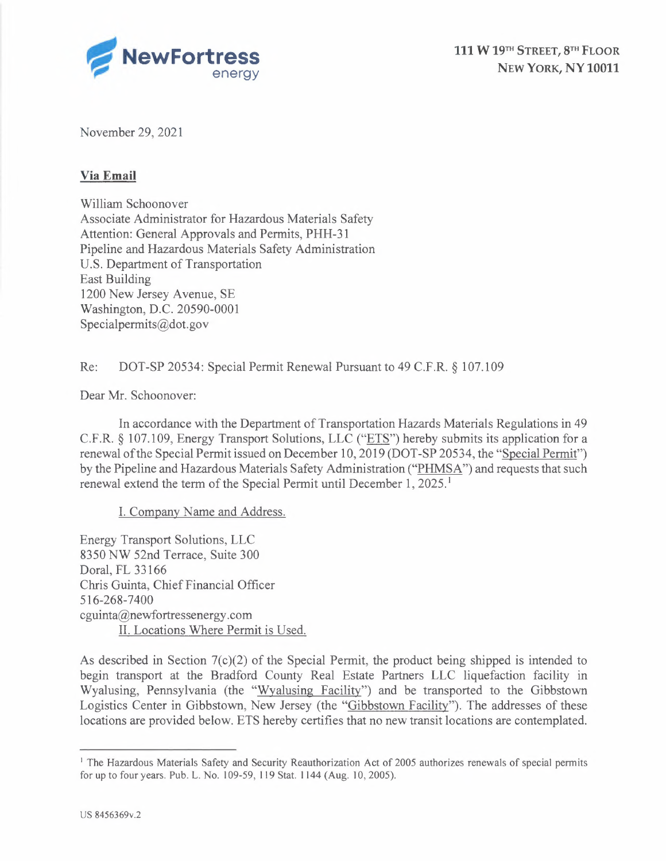

November 29, 2021

### **Via Email**

William Schoonover Associate Administrator for Hazardous Materials Safety Attention: General Approvals and Permits, PHH-31 Pipeline and Hazardous Materials Safety Administration U.S. Department of Transportation East Building 1200 New Jersey Avenue, SE Washington, D.C. 20590-0001 Specialpermits@dot.gov

Re: DOT-SP 20534: Special Permit Renewal Pursuant to 49 C.F.R. § 107.109

Dear Mr. Schoonover:

In accordance with the Department of Transportation Hazards Materials Regulations in 49 C.F.R. § 107.109, Energy Transport Solutions, LLC ("ETS") hereby submits its application for a renewal ofthe Special Permit issued on December 10, 2019 (DOT-SP 20534, the "Special Permit") by the Pipeline and Hazardous Materials Safety Administration ("PHMSA") and requests that such renewal extend the term of the Special Permit until December  $1$ ,  $2025$ .<sup>1</sup>

I. Company Name and Address.

Energy Transport Solutions, LLC 8350 NW 52nd Terrace, Suite 300 Doral, FL 33166 Chris Guinta, Chief Financial Officer 516-268-7400 cguinta@newfortressenergy.com II. Locations Where Permit is Used.

As described in Section  $7(c)(2)$  of the Special Permit, the product being shipped is intended to begin transport at the Bradford County Real Estate Partners LLC liquefaction facility in Wyalusing, Pennsylvania (the "Wyalusing Facility") and be transported to the Gibbstown Logistics Center in Gibbstown, New Jersey (the "Gibbstown Facility"). The addresses of these locations are provided below. ETS hereby certifies that no new transit locations are contemplated.

<sup>&</sup>lt;sup>1</sup> The Hazardous Materials Safety and Security Reauthorization Act of 2005 authorizes renewals of special permits for up to four years. Pub. L. No. 109-59, 119 Stat. 1144 (Aug. 10, 2005).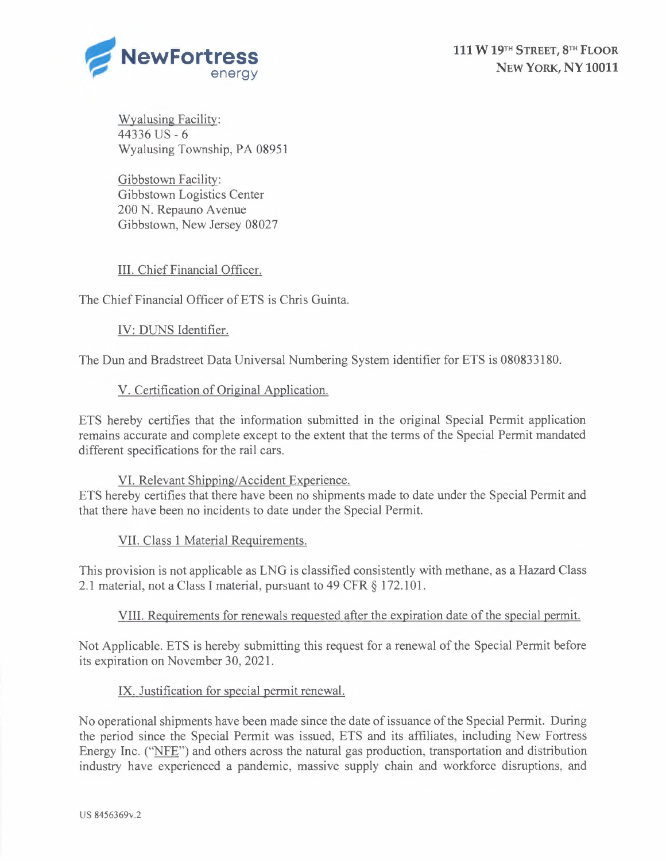

Wyalusing Facility: <sup>44336</sup> US-6 Wyalusing Township, PA 08951

Gibbstown Facility: Gibbstown Logistics Center 200 N. Repauno Avenue Gibbstown, New Jersey 08027

# III. Chief Financial Officer.

The Chief Financial Officer of ETS is Chris Guinta.

# IV: DUNS Identifier.

The Dun and Bradstreet Data Universal Numbering System identifier for ETS is 080833180.

## V. Certification of Original Application.

ETS hereby certifies that the information submitted in the original Special Permit application remains accurate and complete except to the extent that the terms of the Special Permit mandated different specifications for the rail cars.

#### VI. Relevant Shipping/Accident Experience.

ETS hereby certifies that there have been no shipments made to date under the Special Permit and that there have been no incidents to date under the Special Permit.

#### VII. Class <sup>1</sup> Material Requirements.

This provision is not applicable as LNG is classified consistently with methane, as a Hazard Class 2.1 material, not a Class <sup>I</sup> material, pursuant to 49 CFR § 172.101.

#### VIII. Requirements for renewals requested after the expiration date of the special permit.

Not Applicable. ETS is hereby submitting this request for a renewal of the Special Permit before its expiration on November 30, 2021.

#### IX. Justification for special permit renewal.

No operational shipments have been made since the date of issuance of the Special Permit. During the period since the Special Permit was issued, ETS and its affiliates, including New Fortress Energy Inc. ("NFE") and others across the natural gas production, transportation and distribution industry have experienced a pandemic, massive supply chain and workforce disruptions, and